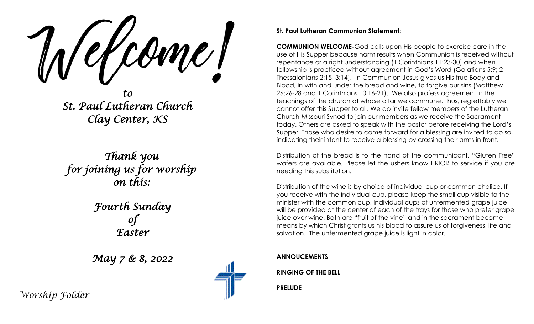come l'

*to St. Paul Lutheran Church Clay Center, KS* 

*Thank you for joining us for worship on this:* 

> *Fourth Sunday of Easter*

*May 7 & 8, 2022* 



#### **St. Paul Lutheran Communion Statement:**

**COMMUNION WELCOME-**God calls upon His people to exercise care in the use of His Supper because harm results when Communion is received without repentance or a right understanding (1 Corinthians 11:23-30) and when fellowship is practiced without agreement in God's Word (Galatians 5:9; 2 Thessalonians 2:15, 3:14). In Communion Jesus gives us His true Body and Blood, in with and under the bread and wine, to forgive our sins (Matthew 26:26-28 and 1 Corinthians 10:16-21). We also profess agreement in the teachings of the church at whose altar we commune. Thus, regrettably we cannot offer this Supper to all. We do invite fellow members of the Lutheran Church-Missouri Synod to join our members as we receive the Sacrament today. Others are asked to speak with the pastor before receiving the Lord's Supper. Those who desire to come forward for a blessing are invited to do so, indicating their intent to receive a blessing by crossing their arms in front.

Distribution of the bread is to the hand of the communicant. "Gluten Free" wafers are available. Please let the ushers know PRIOR to service if you are needing this substitution.

Distribution of the wine is by choice of individual cup or common chalice. If you receive with the individual cup, please keep the small cup visible to the minister with the common cup. Individual cups of unfermented grape juice will be provided at the center of each of the trays for those who prefer grape juice over wine. Both are "fruit of the vine" and in the sacrament become means by which Christ grants us his blood to assure us of forgiveness, life and salvation. The unfermented grape juice is light in color.

**ANNOUCEMENTS**

**RINGING OF THE BELL**

**PRELUDE**

*Worship Folder*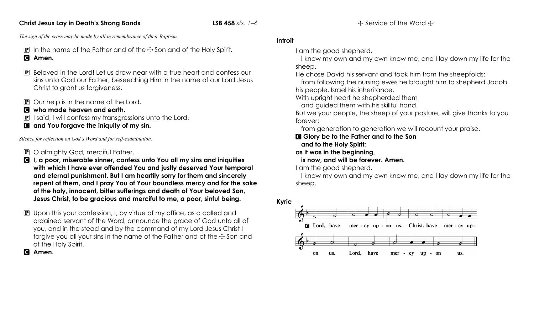## **Christ Jesus Lay in Death's Strong Bands LSB 458** *sts. 1–4*

*The sign of the cross may be made by all in remembrance of their Baptism.*

- **P** In the name of the Father and of the  $\pm$  Son and of the Holy Spirit. C **Amen.**
- P Beloved in the Lord! Let us draw near with a true heart and confess our sins unto God our Father, beseeching Him in the name of our Lord Jesus Christ to grant us forgiveness.
- $\mathbf{P}$  Our help is in the name of the Lord,
- C **who made heaven and earth.**
- P I said, I will confess my transgressions unto the Lord,
- C **and You forgave the iniquity of my sin.**

*Silence for reflection on God's Word and for self-examination.*

- P O almighty God, merciful Father,
- C **I, a poor, miserable sinner, confess unto You all my sins and iniquities with which I have ever offended You and justly deserved Your temporal and eternal punishment. But I am heartily sorry for them and sincerely repent of them, and I pray You of Your boundless mercy and for the sake of the holy, innocent, bitter sufferings and death of Your beloved Son, Jesus Christ, to be gracious and merciful to me, a poor, sinful being.**
- $\mathbf P$  Upon this your confession, I, by virtue of my office, as a called and ordained servant of the Word, announce the grace of God unto all of you, and in the stead and by the command of my Lord Jesus Christ I forgive you all your sins in the name of the Father and of the  $\pm$  Son and of the Holy Spirit.

C **Amen.**

# **Introit**

I am the good shepherd.

I know my own and my own know me, and I lay down my life for the sheep.

He chose David his servant and took him from the sheepfolds;

from following the nursing ewes he brought him to shepherd Jacob his people, Israel his inheritance.

With upright heart he shepherded them

and guided them with his skillful hand.

But we your people, the sheep of your pasture, will give thanks to you forever;

from generation to generation we will recount your praise.

C **Glory be to the Father and to the Son**

**and to the Holy Spirit;**

- **as it was in the beginning,**
	- **is now, and will be forever. Amen.**

I am the good shepherd.

I know my own and my own know me, and I lay down my life for the sheep.

**Kyrie**

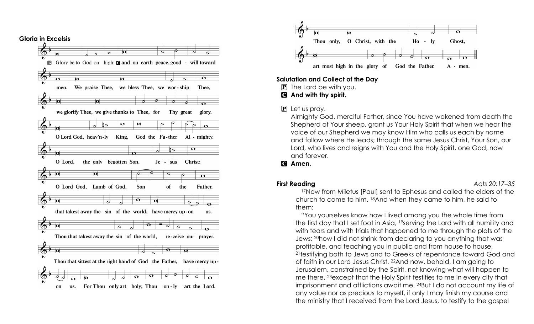

![](_page_2_Figure_1.jpeg)

## **Salutation and Collect of the Day**

 $\boxed{\mathbf{P}}$  The Lord be with you.

C **And with thy spirit.**

## $\boxed{\mathbf{P}}$  Let us pray.

Almighty God, merciful Father, since You have wakened from death the Shepherd of Your sheep, grant us Your Holy Spirit that when we hear the voice of our Shepherd we may know Him who calls us each by name and follow where He leads; through the same Jesus Christ, Your Son, our Lord, who lives and reigns with You and the Holy Spirit, one God, now and forever.

C **Amen.**

## **First Reading**

Acts 20:17-35

17Now from Miletus [Paul] sent to Ephesus and called the elders of the church to come to him. 18And when they came to him, he said to them:

"You yourselves know how I lived among you the whole time from the first day that I set foot in Asia, 19serving the Lord with all humility and with tears and with trials that happened to me through the plots of the Jews; 20how I did not shrink from declaring to you anything that was profitable, and teaching you in public and from house to house, 21testifying both to Jews and to Greeks of repentance toward God and of faith in our Lord Jesus Christ. 22And now, behold, I am going to Jerusalem, constrained by the Spirit, not knowing what will happen to me there, 23except that the Holy Spirit testifies to me in every city that imprisonment and afflictions await me. 24But I do not account my life of any value nor as precious to myself, if only I may finish my course and the ministry that I received from the Lord Jesus, to testify to the gospel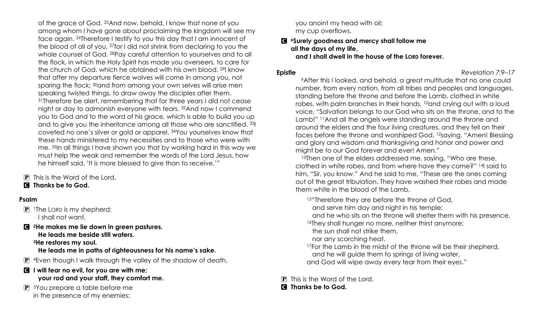of the grace of God. 25And now, behold, I know that none of you among whom I have gone about proclaiming the kingdom will see my face again. 26Therefore I testify to you this day that I am innocent of the blood of all of you, 27for I did not shrink from declaring to you the whole counsel of God. 28Pay careful attention to yourselves and to all the flock, in which the Holy Spirit has made you overseers, to care for the church of God, which he obtained with his own blood. 29I know that after my departure fierce wolves will come in among you, not sparing the flock; <sup>30</sup>and from among your own selves will arise men speaking twisted things, to draw away the disciples after them. 31Therefore be alert, remembering that for three years I did not cease night or day to admonish everyone with tears. 32And now I commend you to God and to the word of his grace, which is able to build you up and to give you the inheritance among all those who are sanctified. 33I coveted no one's silver or gold or apparel. 34You yourselves know that these hands ministered to my necessities and to those who were with me. 35In all things I have shown you that by working hard in this way we must help the weak and remember the words of the Lord Jesus, how he himself said, 'It is more blessed to give than to receive.'"

**P** This is the Word of the Lord.

# C **Thanks be to God.**

# **Psalm**

- $\boxed{\mathbf{P}}$  1The LORD is my shepherd; I shall not want.
- C **2He makes me lie down in green pastures. He leads me beside still waters. 3He restores my soul.**

# **He leads me in paths of righteousness for his name's sake.**

 $\mathbb{P}$  4 Even though I walk through the valley of the shadow of death,

## C **I will fear no evil, for you are with me; your rod and your staff, they comfort me.**

P 5You prepare a table before me in the presence of my enemies;

you anoint my head with oil; my cup overflows.

## C **6Surely goodness and mercy shall follow me all the days of my life, and I shall dwell in the house of the LORD forever.**

## **Epistle** *Revelation 7:9–17*

9After this I looked, and behold, a great multitude that no one could number, from every nation, from all tribes and peoples and languages, standing before the throne and before the Lamb, clothed in white robes, with palm branches in their hands, 10and crying out with a loud voice, "Salvation belongs to our God who sits on the throne, and to the Lamb!" 11And all the angels were standing around the throne and around the elders and the four living creatures, and they fell on their faces before the throne and worshiped God, 12saying, "Amen! Blessing and glory and wisdom and thanksgiving and honor and power and might be to our God forever and ever! Amen."

13Then one of the elders addressed me, saying, "Who are these, clothed in white robes, and from where have they come?" 14I said to him, "Sir, you know." And he said to me, "These are the ones coming out of the great tribulation. They have washed their robes and made them white in the blood of the Lamb.

15"Therefore they are before the throne of God,

- and serve him day and night in his temple;
- and he who sits on the throne will shelter them with his presence. 16They shall hunger no more, neither thirst anymore;
- the sun shall not strike them,
- nor any scorching heat.
- <sup>17</sup>For the Lamb in the midst of the throne will be their shepherd, and he will guide them to springs of living water,
- and God will wipe away every tear from their eyes."

P This is the Word of the Lord.

## C **Thanks be to God.**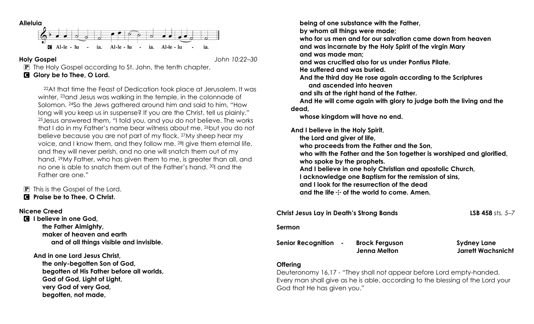![](_page_4_Figure_0.jpeg)

**Holy Gospel** *John 10:22–30*

P The Holy Gospel according to St. John, the tenth chapter.

# C **Glory be to Thee, O Lord.**

22At that time the Feast of Dedication took place at Jerusalem. It was winter, 23and Jesus was walking in the temple, in the colonnade of Solomon. 24So the Jews gathered around him and said to him, "How long will you keep us in suspense? If you are the Christ, tell us plainly." 25Jesus answered them, "I told you, and you do not believe. The works that I do in my Father's name bear witness about me, <sup>26</sup>but you do not believe because you are not part of my flock. 27My sheep hear my voice, and I know them, and they follow me. 28I give them eternal life, and they will never perish, and no one will snatch them out of my hand. 29My Father, who has given them to me, is greater than all, and no one is able to snatch them out of the Father's hand. 30I and the Father are one."

 $\boxed{\mathbf{P}}$  This is the Gospel of the Lord. C **Praise be to Thee, O Christ.**

## **Nicene Creed**

C **I believe in one God, the Father Almighty, maker of heaven and earth and of all things visible and invisible.**

**And in one Lord Jesus Christ, the only-begotten Son of God, begotten of His Father before all worlds, God of God, Light of Light, very God of very God, begotten, not made,**

 **being of one substance with the Father,**

 **by whom all things were made;**

 **who for us men and for our salvation came down from heaven and was incarnate by the Holy Spirit of the virgin Mary and was made man;**

 **and was crucified also for us under Pontius Pilate.**

 **He suffered and was buried.**

 **And the third day He rose again according to the Scriptures and ascended into heaven**

 **and sits at the right hand of the Father.**

 **And He will come again with glory to judge both the living and the dead,**

 **whose kingdom will have no end.**

**And I believe in the Holy Spirit,**

 **the Lord and giver of life, who proceeds from the Father and the Son,**

 **who with the Father and the Son together is worshiped and glorified,**

 **who spoke by the prophets.**

 **And I believe in one holy Christian and apostolic Church,**

 **I acknowledge one Baptism for the remission of sins,**

 **and I look for the resurrection of the dead**

and the life  $\pm$  of the world to come. Amen.

| <b>Christ Jesus Lay in Death's Strong Bands</b> |                                              | <b>LSB 458</b> sts. $5-7$                       |
|-------------------------------------------------|----------------------------------------------|-------------------------------------------------|
| Sermon                                          |                                              |                                                 |
| <b>Senior Recognition</b><br>$\sim$ 100 $\pm$   | <b>Brock Ferguson</b><br><b>Jenna Melton</b> | <b>Sydney Lane</b><br><b>Jarrett Wachsnicht</b> |
|                                                 |                                              |                                                 |

# **Offering**

Deuteronomy 16,17 - "They shall not appear before Lord empty-handed. Every man shall give as he is able, according to the blessing of the Lord your God that He has given you."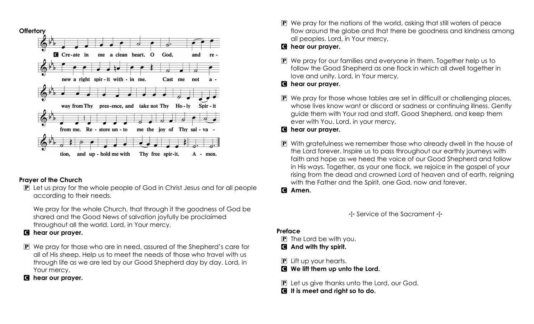![](_page_5_Figure_0.jpeg)

# **Prayer of the Church**

P Let us pray for the whole people of God in Christ Jesus and for all people according to their needs.

We pray for the whole Church, that through it the goodness of God be shared and the Good News of salvation joyfully be proclaimed throughout all the world. Lord, in Your mercy,

# C **hear our prayer.**

P We pray for those who are in need, assured of the Shepherd's care for all of His sheep. Help us to meet the needs of those who travel with us through life as we are led by our Good Shepherd day by day. Lord, in Your mercy,

# C **hear our prayer.**

 $\mathbf{P}$  We pray for the nations of the world, asking that still waters of peace flow around the globe and that there be goodness and kindness among all peoples. Lord, in Your mercy,

# C **hear our prayer.**

P We pray for our families and everyone in them. Together help us to follow the Good Shepherd as one flock in which all dwell together in love and unity. Lord, in Your mercy,

# C **hear our prayer.**

- P We pray for those whose tables are set in difficult or challenging places, whose lives know want or discord or sadness or continuing illness. Gently guide them with Your rod and staff, Good Shepherd, and keep them ever with You. Lord, in your mercy,
- C **hear our prayer.**
- P With gratefulness we remember those who already dwell in the house of the Lord forever. Inspire us to pass throughout our earthly journeys with faith and hope as we heed the voice of our Good Shepherd and follow in His ways. Together, as your one flock, we rejoice in the gospel of your rising from the dead and crowned Lord of heaven and of earth, reigning with the Father and the Spirit, one God, now and forever.
- C **Amen.**

 $\div$  Service of the Sacrament  $\div$ 

# **Preface**

- $\overline{P}$  The Lord be with you.
- C **And with thy spirit.**
- $\mathbf{P}$  Lift up your hearts.
- C **We lift them up unto the Lord.**
- P Let us give thanks unto the Lord, our God.
- C **It is meet and right so to do.**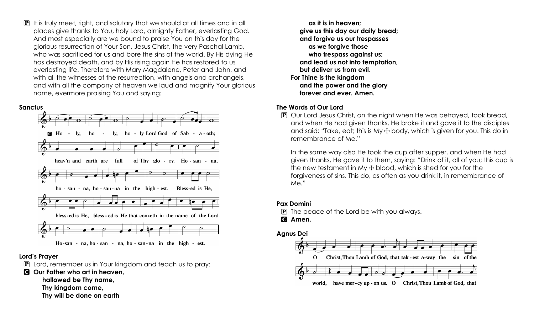P It is truly meet, right, and salutary that we should at all times and in all places give thanks to You, holy Lord, almighty Father, everlasting God. And most especially are we bound to praise You on this day for the glorious resurrection of Your Son, Jesus Christ, the very Paschal Lamb, who was sacrificed for us and bore the sins of the world. By His dying He has destroyed death, and by His rising again He has restored to us everlasting life. Therefore with Mary Magdalene, Peter and John, and with all the witnesses of the resurrection, with angels and archangels, and with all the company of heaven we laud and magnify Your glorious name, evermore praising You and saying:

![](_page_6_Figure_1.jpeg)

## **Lord's Prayer**

 $\mathbf{P}$  Lord, remember us in Your kingdom and teach us to pray:

C **Our Father who art in heaven,**

- **hallowed be Thy name,**
- **Thy kingdom come,**
- **Thy will be done on earth**

 **as it is in heaven; give us this day our daily bread; and forgive us our trespasses as we forgive those who trespass against us; and lead us not into temptation, but deliver us from evil. For Thine is the kingdom and the power and the glory forever and ever. Amen.**

# **The Words of Our Lord**

P Our Lord Jesus Christ, on the night when He was betrayed, took bread, and when He had given thanks, He broke it and gave it to the disciples and said: "Take, eat; this is My  $\pm$  body, which is given for you. This do in remembrance of Me."

In the same way also He took the cup after supper, and when He had given thanks, He gave it to them, saying: "Drink of it, all of you; this cup is the new testament in My  $\pm$  blood, which is shed for you for the forgiveness of sins. This do, as often as you drink it, in remembrance of Me."

# **Pax Domini**

 $\mathbf{P}$  The peace of the Lord be with you always.

C **Amen.**

![](_page_6_Figure_15.jpeg)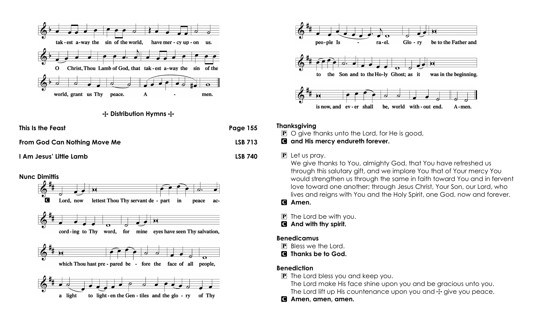![](_page_7_Figure_0.jpeg)

#### **十 Distribution Hymns 十**

| This Is the Feast            | Page 155       |
|------------------------------|----------------|
| From God Can Nothing Move Me | <b>LSB 713</b> |
| I Am Jesus' Little Lamb      | <b>LSB 740</b> |

![](_page_7_Figure_3.jpeg)

![](_page_7_Figure_4.jpeg)

#### **Thanksgiving**

 $\mathbf{P}$  O give thanks unto the Lord, for He is good,

## C **and His mercy endureth forever.**

#### P Let us pray.

We give thanks to You, almighty God, that You have refreshed us through this salutary gift, and we implore You that of Your mercy You would strengthen us through the same in faith toward You and in fervent love toward one another; through Jesus Christ, Your Son, our Lord, who lives and reigns with You and the Holy Spirit, one God, now and forever.

# C **Amen.**

 $\boxed{\mathbf{P}}$  The Lord be with you.

C **And with thy spirit.**

## **Benedicamus**

P Bless we the Lord.

C **Thanks be to God.**

## **Benediction**

P The Lord bless you and keep you.

The Lord make His face shine upon you and be gracious unto you. The Lord lift up His countenance upon you and  $\pm$  give you peace.

C **Amen, amen, amen.**